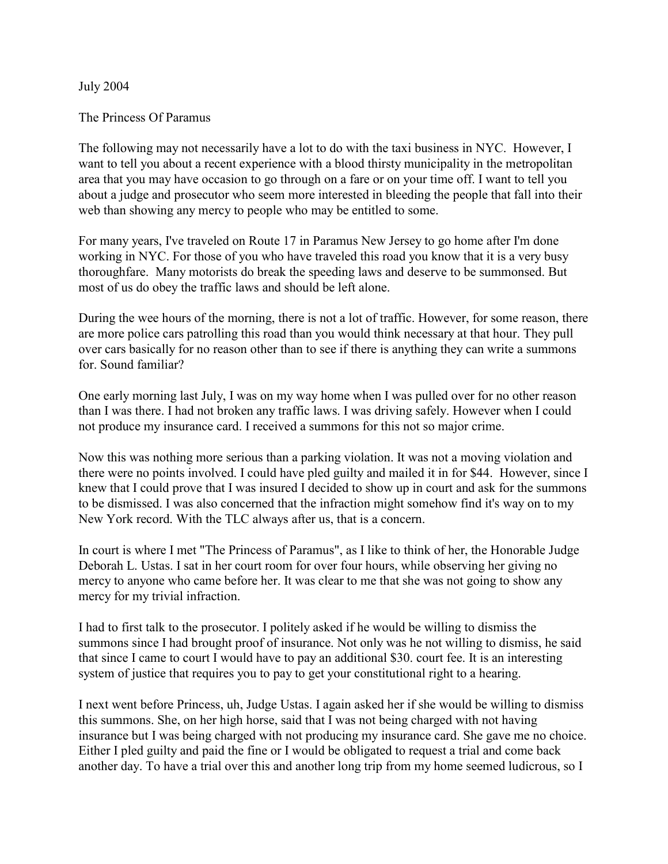## July 2004

## The Princess Of Paramus

The following may not necessarily have a lot to do with the taxi business in NYC. However, I want to tell you about a recent experience with a blood thirsty municipality in the metropolitan area that you may have occasion to go through on a fare or on your time off. I want to tell you about a judge and prosecutor who seem more interested in bleeding the people that fall into their web than showing any mercy to people who may be entitled to some.

For many years, I've traveled on Route 17 in Paramus New Jersey to go home after I'm done working in NYC. For those of you who have traveled this road you know that it is a very busy thoroughfare. Many motorists do break the speeding laws and deserve to be summonsed. But most of us do obey the traffic laws and should be left alone.

During the wee hours of the morning, there is not a lot of traffic. However, for some reason, there are more police cars patrolling this road than you would think necessary at that hour. They pull over cars basically for no reason other than to see if there is anything they can write a summons for. Sound familiar?

One early morning last July, I was on my way home when I was pulled over for no other reason than I was there. I had not broken any traffic laws. I was driving safely. However when I could not produce my insurance card. I received a summons for this not so major crime.

Now this was nothing more serious than a parking violation. It was not a moving violation and there were no points involved. I could have pled guilty and mailed it in for \$44. However, since I knew that I could prove that I was insured I decided to show up in court and ask for the summons to be dismissed. I was also concerned that the infraction might somehow find it's way on to my New York record. With the TLC always after us, that is a concern.

In court is where I met "The Princess of Paramus", as I like to think of her, the Honorable Judge Deborah L. Ustas. I sat in her court room for over four hours, while observing her giving no mercy to anyone who came before her. It was clear to me that she was not going to show any mercy for my trivial infraction.

I had to first talk to the prosecutor. I politely asked if he would be willing to dismiss the summons since I had brought proof of insurance. Not only was he not willing to dismiss, he said that since I came to court I would have to pay an additional \$30. court fee. It is an interesting system of justice that requires you to pay to get your constitutional right to a hearing.

I next went before Princess, uh, Judge Ustas. I again asked her if she would be willing to dismiss this summons. She, on her high horse, said that I was not being charged with not having insurance but I was being charged with not producing my insurance card. She gave me no choice. Either I pled guilty and paid the fine or I would be obligated to request a trial and come back another day. To have a trial over this and another long trip from my home seemed ludicrous, so I